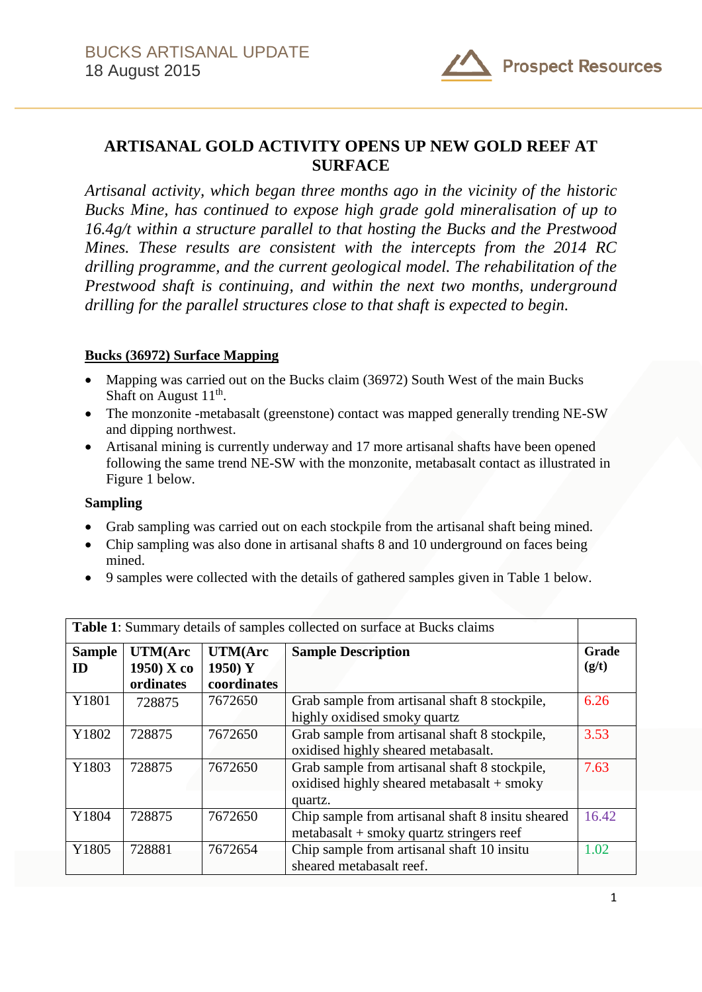

# **ARTISANAL GOLD ACTIVITY OPENS UP NEW GOLD REEF AT SURFACE**

*Artisanal activity, which began three months ago in the vicinity of the historic Bucks Mine, has continued to expose high grade gold mineralisation of up to 16.4g/t within a structure parallel to that hosting the Bucks and the Prestwood Mines. These results are consistent with the intercepts from the 2014 RC drilling programme, and the current geological model. The rehabilitation of the Prestwood shaft is continuing, and within the next two months, underground drilling for the parallel structures close to that shaft is expected to begin.*

## **Bucks (36972) Surface Mapping**

- Mapping was carried out on the Bucks claim (36972) South West of the main Bucks Shaft on August  $11<sup>th</sup>$ .
- The monzonite -metabasalt (greenstone) contact was mapped generally trending NE-SW and dipping northwest.
- Artisanal mining is currently underway and 17 more artisanal shafts have been opened following the same trend NE-SW with the monzonite, metabasalt contact as illustrated in Figure 1 below.

### **Sampling**

- Grab sampling was carried out on each stockpile from the artisanal shaft being mined.
- Chip sampling was also done in artisanal shafts 8 and 10 underground on faces being mined.
- 9 samples were collected with the details of gathered samples given in Table 1 below.

| Table 1: Summary details of samples collected on surface at Bucks claims |                                              |                                            |                                                                                                          |                |  |
|--------------------------------------------------------------------------|----------------------------------------------|--------------------------------------------|----------------------------------------------------------------------------------------------------------|----------------|--|
| <b>Sample</b><br>ID                                                      | <b>UTM(Arc</b><br>$1950$ ) X co<br>ordinates | <b>UTM(Arc</b><br>1950) $Y$<br>coordinates | <b>Sample Description</b>                                                                                | Grade<br>(g/t) |  |
| Y1801                                                                    | 728875                                       | 7672650                                    | Grab sample from artisanal shaft 8 stockpile,<br>highly oxidised smoky quartz                            | 6.26           |  |
| Y1802                                                                    | 728875                                       | 7672650                                    | Grab sample from artisanal shaft 8 stockpile,<br>oxidised highly sheared metabasalt.                     | 3.53           |  |
| Y1803                                                                    | 728875                                       | 7672650                                    | Grab sample from artisanal shaft 8 stockpile,<br>oxidised highly sheared metabasalt $+$ smoky<br>quartz. | 7.63           |  |
| Y1804                                                                    | 728875                                       | 7672650                                    | Chip sample from artisanal shaft 8 insitu sheared<br>$metabasalt + smoky$ quartz stringers reef          | 16.42          |  |
| Y1805                                                                    | 728881                                       | 7672654                                    | Chip sample from artisanal shaft 10 insitu<br>sheared metabasalt reef.                                   | 1.02           |  |

1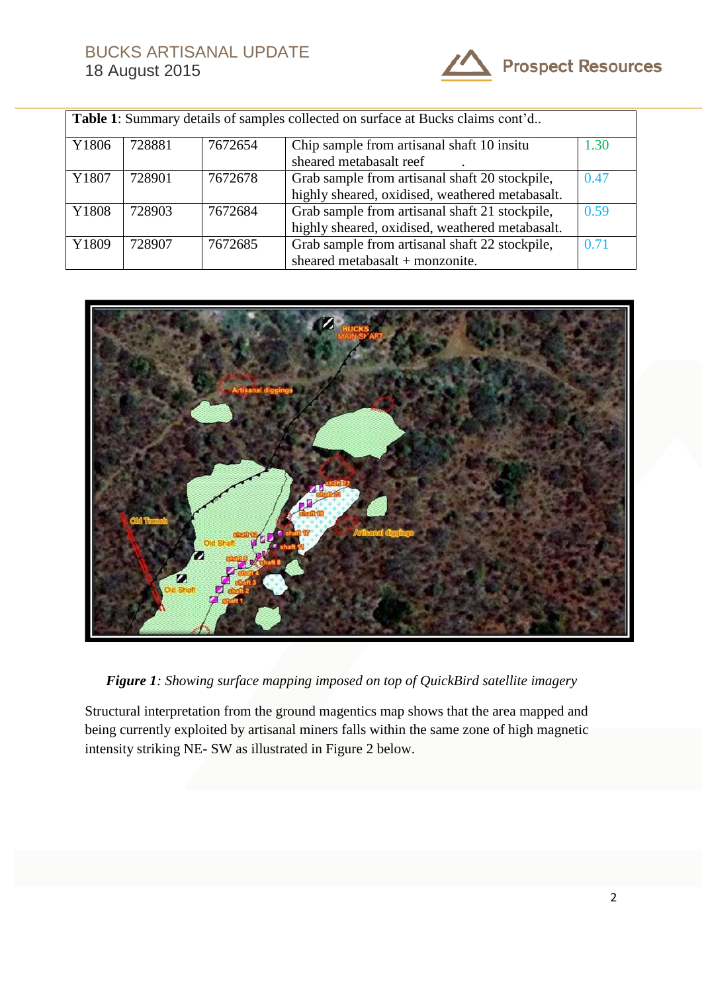

| <b>Table 1:</b> Summary details of samples collected on surface at Bucks claims cont'd |        |         |                                                 |      |  |  |  |
|----------------------------------------------------------------------------------------|--------|---------|-------------------------------------------------|------|--|--|--|
| Y1806                                                                                  | 728881 | 7672654 | Chip sample from artisanal shaft 10 insitu      | 1.30 |  |  |  |
|                                                                                        |        |         | sheared metabasalt reef                         |      |  |  |  |
| Y1807                                                                                  | 728901 | 7672678 | Grab sample from artisanal shaft 20 stockpile,  | 0.47 |  |  |  |
|                                                                                        |        |         | highly sheared, oxidised, weathered metabasalt. |      |  |  |  |
| Y1808                                                                                  | 728903 | 7672684 | Grab sample from artisanal shaft 21 stockpile,  | 0.59 |  |  |  |
|                                                                                        |        |         | highly sheared, oxidised, weathered metabasalt. |      |  |  |  |
| Y1809                                                                                  | 728907 | 7672685 | Grab sample from artisanal shaft 22 stockpile,  | 0.71 |  |  |  |
|                                                                                        |        |         | sheared metabasalt + monzonite.                 |      |  |  |  |



*Figure 1: Showing surface mapping imposed on top of QuickBird satellite imagery*

Structural interpretation from the ground magentics map shows that the area mapped and being currently exploited by artisanal miners falls within the same zone of high magnetic intensity striking NE- SW as illustrated in Figure 2 below.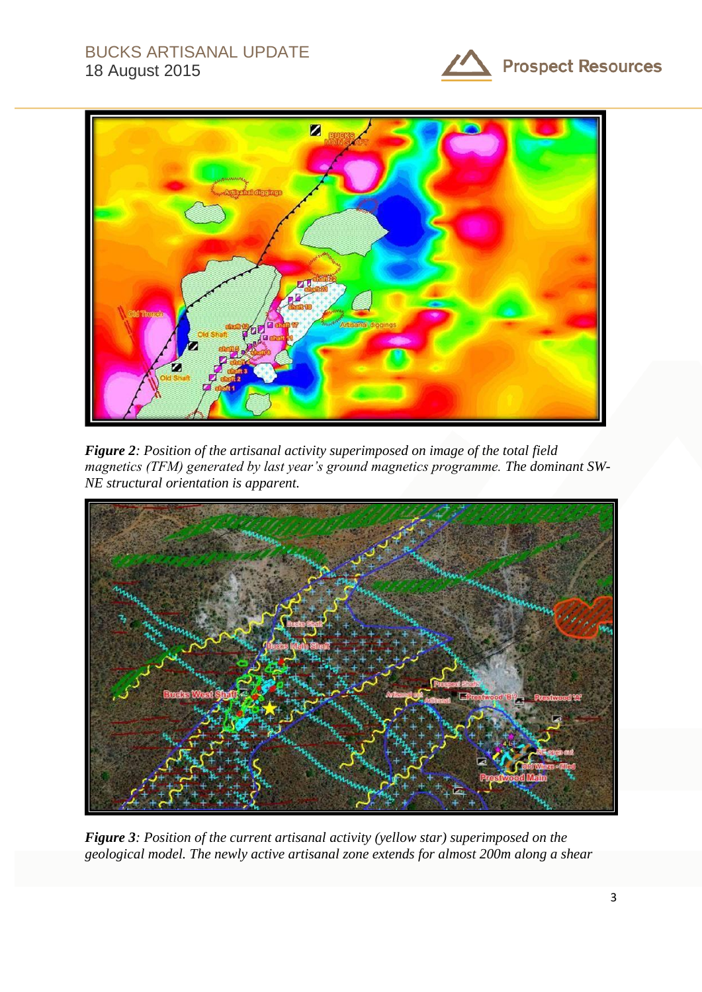# BUCKS ARTISANAL UPDATE 18 August 2015





*Figure 2: Position of the artisanal activity superimposed on image of the total field magnetics (TFM) generated by last year's ground magnetics programme. The dominant SW-NE structural orientation is apparent.*



*Figure 3: Position of the current artisanal activity (yellow star) superimposed on the geological model. The newly active artisanal zone extends for almost 200m along a shear*